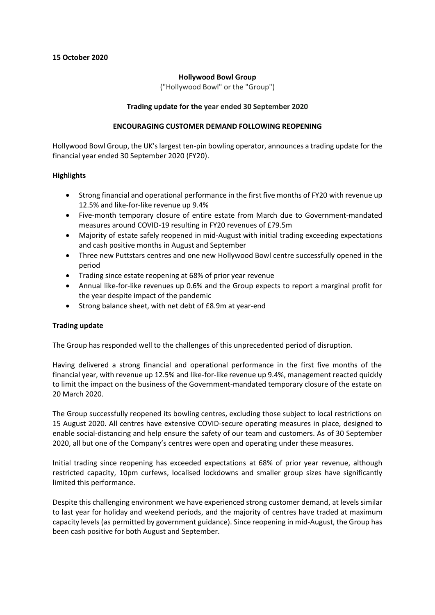## **Hollywood Bowl Group**

("Hollywood Bowl" or the "Group")

## **Trading update for the year ended 30 September 2020**

#### **ENCOURAGING CUSTOMER DEMAND FOLLOWING REOPENING**

Hollywood Bowl Group, the UK's largest ten-pin bowling operator, announces a trading update for the financial year ended 30 September 2020 (FY20).

# **Highlights**

- Strong financial and operational performance in the first five months of FY20 with revenue up 12.5% and like-for-like revenue up 9.4%
- Five-month temporary closure of entire estate from March due to Government-mandated measures around COVID-19 resulting in FY20 revenues of £79.5m
- Majority of estate safely reopened in mid-August with initial trading exceeding expectations and cash positive months in August and September
- Three new Puttstars centres and one new Hollywood Bowl centre successfully opened in the period
- Trading since estate reopening at 68% of prior year revenue
- Annual like-for-like revenues up 0.6% and the Group expects to report a marginal profit for the year despite impact of the pandemic
- Strong balance sheet, with net debt of £8.9m at year-end

# **Trading update**

The Group has responded well to the challenges of this unprecedented period of disruption.

Having delivered a strong financial and operational performance in the first five months of the financial year, with revenue up 12.5% and like-for-like revenue up 9.4%, management reacted quickly to limit the impact on the business of the Government-mandated temporary closure of the estate on 20 March 2020.

The Group successfully reopened its bowling centres, excluding those subject to local restrictions on 15 August 2020. All centres have extensive COVID-secure operating measures in place, designed to enable social-distancing and help ensure the safety of our team and customers. As of 30 September 2020, all but one of the Company's centres were open and operating under these measures.

Initial trading since reopening has exceeded expectations at 68% of prior year revenue, although restricted capacity, 10pm curfews, localised lockdowns and smaller group sizes have significantly limited this performance.

Despite this challenging environment we have experienced strong customer demand, at levels similar to last year for holiday and weekend periods, and the majority of centres have traded at maximum capacity levels (as permitted by government guidance). Since reopening in mid-August, the Group has been cash positive for both August and September.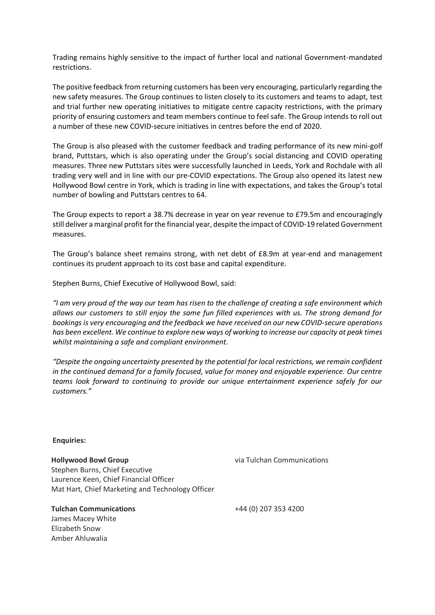Trading remains highly sensitive to the impact of further local and national Government-mandated restrictions.

The positive feedback from returning customers has been very encouraging, particularly regarding the new safety measures. The Group continues to listen closely to its customers and teams to adapt, test and trial further new operating initiatives to mitigate centre capacity restrictions, with the primary priority of ensuring customers and team members continue to feel safe. The Group intends to roll out a number of these new COVID-secure initiatives in centres before the end of 2020.

The Group is also pleased with the customer feedback and trading performance of its new mini-golf brand, Puttstars, which is also operating under the Group's social distancing and COVID operating measures. Three new Puttstars sites were successfully launched in Leeds, York and Rochdale with all trading very well and in line with our pre-COVID expectations. The Group also opened its latest new Hollywood Bowl centre in York, which is trading in line with expectations, and takes the Group's total number of bowling and Puttstars centres to 64.

The Group expects to report a 38.7% decrease in year on year revenue to £79.5m and encouragingly still deliver a marginal profit for the financial year, despite the impact of COVID-19 related Government measures.

The Group's balance sheet remains strong, with net debt of £8.9m at year-end and management continues its prudent approach to its cost base and capital expenditure.

Stephen Burns, Chief Executive of Hollywood Bowl, said:

*"I am very proud of the way our team has risen to the challenge of creating a safe environment which allows our customers to still enjoy the same fun filled experiences with us. The strong demand for bookings is very encouraging and the feedback we have received on our new COVID-secure operations has been excellent. We continue to explore new ways of working to increase our capacity at peak times whilst maintaining a safe and compliant environment.* 

*"Despite the ongoing uncertainty presented by the potential for local restrictions, we remain confident in the continued demand for a family focused, value for money and enjoyable experience. Our centre teams look forward to continuing to provide our unique entertainment experience safely for our customers."*

**Enquiries:**

**Hollywood Bowl Group** Stephen Burns, Chief Executive Laurence Keen, Chief Financial Officer Mat Hart, Chief Marketing and Technology Officer

**Tulchan Communications** James Macey White Elizabeth Snow Amber Ahluwalia

via Tulchan Communications

+44 (0) 207 353 4200